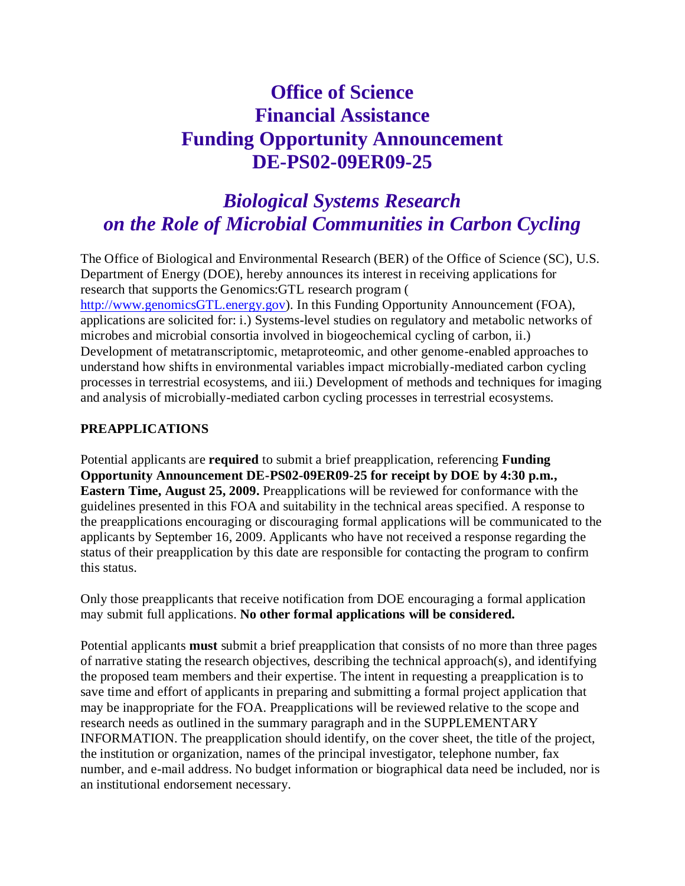# **Office of Science Financial Assistance Funding Opportunity Announcement DE-PS02-09ER09-25**

# *Biological Systems Research on the Role of Microbial Communities in Carbon Cycling*

The Office of Biological and Environmental Research (BER) of the Office of Science (SC), U.S. Department of Energy (DOE), hereby announces its interest in receiving applications for research that supports the Genomics:GTL research program [\(](http://www.genomicsgtl.energy.gov/)

[http://www.genomicsGTL.energy.gov\)](http://www.genomicsgtl.energy.gov/). In this Funding Opportunity Announcement (FOA), applications are solicited for: i.) Systems-level studies on regulatory and metabolic networks of microbes and microbial consortia involved in biogeochemical cycling of carbon, ii.) Development of metatranscriptomic, metaproteomic, and other genome-enabled approaches to understand how shifts in environmental variables impact microbially-mediated carbon cycling processes in terrestrial ecosystems, and iii.) Development of methods and techniques for imaging and analysis of microbially-mediated carbon cycling processes in terrestrial ecosystems.

## **PREAPPLICATIONS**

Potential applicants are **required** to submit a brief preapplication, referencing **Funding Opportunity Announcement DE-PS02-09ER09-25 for receipt by DOE by 4:30 p.m., Eastern Time, August 25, 2009.** Preapplications will be reviewed for conformance with the guidelines presented in this FOA and suitability in the technical areas specified. A response to the preapplications encouraging or discouraging formal applications will be communicated to the applicants by September 16, 2009. Applicants who have not received a response regarding the status of their preapplication by this date are responsible for contacting the program to confirm this status.

Only those preapplicants that receive notification from DOE encouraging a formal application may submit full applications. **No other formal applications will be considered.**

Potential applicants **must** submit a brief preapplication that consists of no more than three pages of narrative stating the research objectives, describing the technical approach(s), and identifying the proposed team members and their expertise. The intent in requesting a preapplication is to save time and effort of applicants in preparing and submitting a formal project application that may be inappropriate for the FOA. Preapplications will be reviewed relative to the scope and research needs as outlined in the summary paragraph and in the SUPPLEMENTARY INFORMATION. The preapplication should identify, on the cover sheet, the title of the project, the institution or organization, names of the principal investigator, telephone number, fax number, and e-mail address. No budget information or biographical data need be included, nor is an institutional endorsement necessary.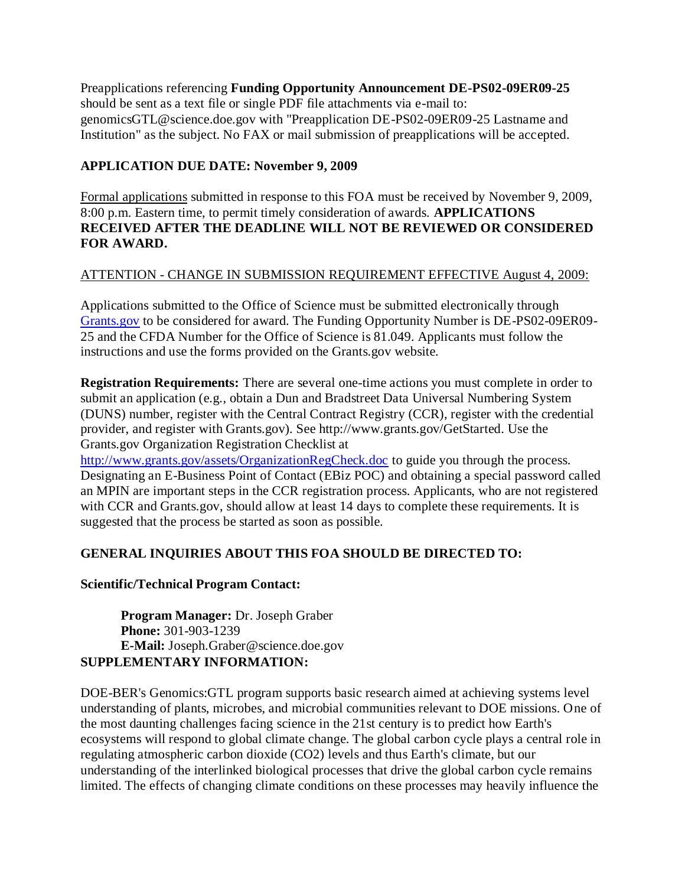Preapplications referencing **Funding Opportunity Announcement DE-PS02-09ER09-25** should be sent as a text file or single PDF file attachments via e-mail to: genomicsGTL@science.doe.gov with "Preapplication DE-PS02-09ER09-25 Lastname and Institution" as the subject. No FAX or mail submission of preapplications will be accepted.

### **APPLICATION DUE DATE: November 9, 2009**

Formal applications submitted in response to this FOA must be received by November 9, 2009, 8:00 p.m. Eastern time, to permit timely consideration of awards. **APPLICATIONS RECEIVED AFTER THE DEADLINE WILL NOT BE REVIEWED OR CONSIDERED FOR AWARD.**

## ATTENTION - CHANGE IN SUBMISSION REQUIREMENT EFFECTIVE August 4, 2009:

Applications submitted to the Office of Science must be submitted electronically through [Grants.gov](http://www.grants.gov/) to be considered for award. The Funding Opportunity Number is DE-PS02-09ER09- 25 and the CFDA Number for the Office of Science is 81.049. Applicants must follow the instructions and use the forms provided on the Grants.gov website.

**Registration Requirements:** There are several one-time actions you must complete in order to submit an application (e.g., obtain a Dun and Bradstreet Data Universal Numbering System (DUNS) number, register with the Central Contract Registry (CCR), register with the credential provider, and register with Grants.gov). See http://www.grants.gov/GetStarted. Use the Grants.gov Organization Registration Checklist at

<http://www.grants.gov/assets/OrganizationRegCheck.doc> to guide you through the process. Designating an E-Business Point of Contact (EBiz POC) and obtaining a special password called an MPIN are important steps in the CCR registration process. Applicants, who are not registered with CCR and Grants.gov, should allow at least 14 days to complete these requirements. It is suggested that the process be started as soon as possible.

# **GENERAL INQUIRIES ABOUT THIS FOA SHOULD BE DIRECTED TO:**

#### **Scientific/Technical Program Contact:**

**Program Manager:** Dr. Joseph Graber **Phone:** 301-903-1239 **E-Mail:** Joseph.Graber@science.doe.gov **SUPPLEMENTARY INFORMATION:**

DOE-BER's Genomics:GTL program supports basic research aimed at achieving systems level understanding of plants, microbes, and microbial communities relevant to DOE missions. One of the most daunting challenges facing science in the 21st century is to predict how Earth's ecosystems will respond to global climate change. The global carbon cycle plays a central role in regulating atmospheric carbon dioxide (CO2) levels and thus Earth's climate, but our understanding of the interlinked biological processes that drive the global carbon cycle remains limited. The effects of changing climate conditions on these processes may heavily influence the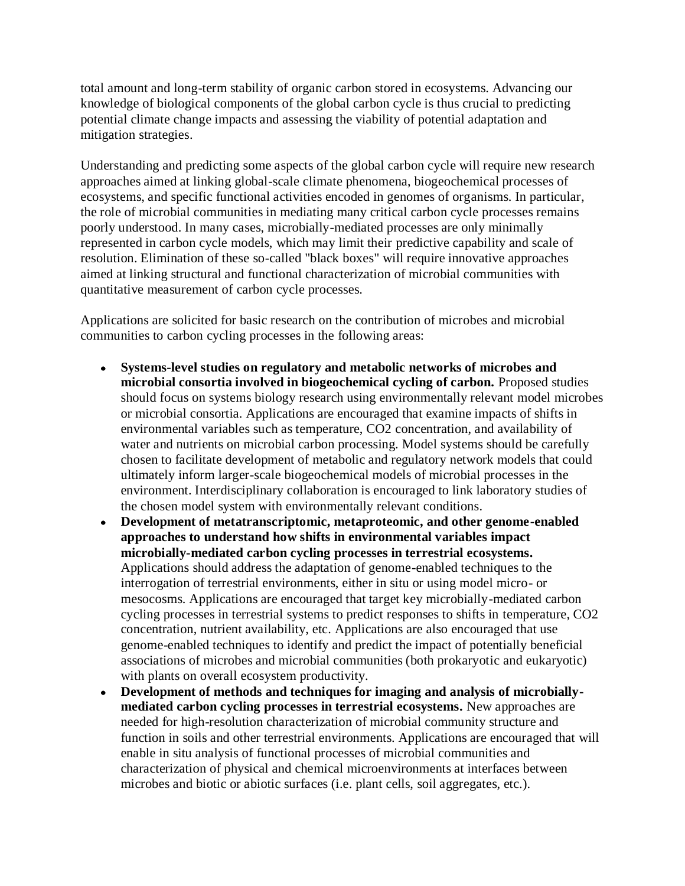total amount and long-term stability of organic carbon stored in ecosystems. Advancing our knowledge of biological components of the global carbon cycle is thus crucial to predicting potential climate change impacts and assessing the viability of potential adaptation and mitigation strategies.

Understanding and predicting some aspects of the global carbon cycle will require new research approaches aimed at linking global-scale climate phenomena, biogeochemical processes of ecosystems, and specific functional activities encoded in genomes of organisms. In particular, the role of microbial communities in mediating many critical carbon cycle processes remains poorly understood. In many cases, microbially-mediated processes are only minimally represented in carbon cycle models, which may limit their predictive capability and scale of resolution. Elimination of these so-called "black boxes" will require innovative approaches aimed at linking structural and functional characterization of microbial communities with quantitative measurement of carbon cycle processes.

Applications are solicited for basic research on the contribution of microbes and microbial communities to carbon cycling processes in the following areas:

- **Systems-level studies on regulatory and metabolic networks of microbes and microbial consortia involved in biogeochemical cycling of carbon.** Proposed studies should focus on systems biology research using environmentally relevant model microbes or microbial consortia. Applications are encouraged that examine impacts of shifts in environmental variables such as temperature, CO2 concentration, and availability of water and nutrients on microbial carbon processing. Model systems should be carefully chosen to facilitate development of metabolic and regulatory network models that could ultimately inform larger-scale biogeochemical models of microbial processes in the environment. Interdisciplinary collaboration is encouraged to link laboratory studies of the chosen model system with environmentally relevant conditions.
- **Development of metatranscriptomic, metaproteomic, and other genome-enabled approaches to understand how shifts in environmental variables impact microbially-mediated carbon cycling processes in terrestrial ecosystems.** Applications should address the adaptation of genome-enabled techniques to the interrogation of terrestrial environments, either in situ or using model micro- or mesocosms. Applications are encouraged that target key microbially-mediated carbon cycling processes in terrestrial systems to predict responses to shifts in temperature, CO2 concentration, nutrient availability, etc. Applications are also encouraged that use genome-enabled techniques to identify and predict the impact of potentially beneficial associations of microbes and microbial communities (both prokaryotic and eukaryotic) with plants on overall ecosystem productivity.
- **Development of methods and techniques for imaging and analysis of microbially-** $\bullet$ **mediated carbon cycling processes in terrestrial ecosystems.** New approaches are needed for high-resolution characterization of microbial community structure and function in soils and other terrestrial environments. Applications are encouraged that will enable in situ analysis of functional processes of microbial communities and characterization of physical and chemical microenvironments at interfaces between microbes and biotic or abiotic surfaces (i.e. plant cells, soil aggregates, etc.).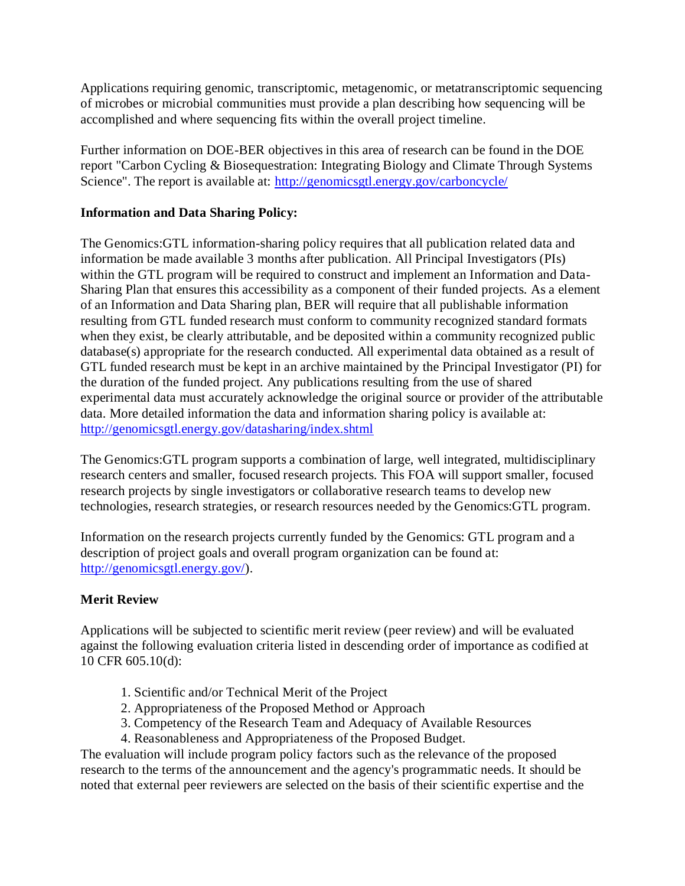Applications requiring genomic, transcriptomic, metagenomic, or metatranscriptomic sequencing of microbes or microbial communities must provide a plan describing how sequencing will be accomplished and where sequencing fits within the overall project timeline.

Further information on DOE-BER objectives in this area of research can be found in the DOE report "Carbon Cycling & Biosequestration: Integrating Biology and Climate Through Systems Science". The report is available at:<http://genomicsgtl.energy.gov/carboncycle/>

### **Information and Data Sharing Policy:**

The Genomics:GTL information-sharing policy requires that all publication related data and information be made available 3 months after publication. All Principal Investigators (PIs) within the GTL program will be required to construct and implement an Information and Data-Sharing Plan that ensures this accessibility as a component of their funded projects. As a element of an Information and Data Sharing plan, BER will require that all publishable information resulting from GTL funded research must conform to community recognized standard formats when they exist, be clearly attributable, and be deposited within a community recognized public database(s) appropriate for the research conducted. All experimental data obtained as a result of GTL funded research must be kept in an archive maintained by the Principal Investigator (PI) for the duration of the funded project. Any publications resulting from the use of shared experimental data must accurately acknowledge the original source or provider of the attributable data. More detailed information the data and information sharing policy is available at: <http://genomicsgtl.energy.gov/datasharing/index.shtml>

The Genomics:GTL program supports a combination of large, well integrated, multidisciplinary research centers and smaller, focused research projects. This FOA will support smaller, focused research projects by single investigators or collaborative research teams to develop new technologies, research strategies, or research resources needed by the Genomics:GTL program.

Information on the research projects currently funded by the Genomics: GTL program and a description of project goals and overall program organization can be found at: [http://genomicsgtl.energy.gov/\)](http://genomicsgtl.energy.gov/).

# **Merit Review**

Applications will be subjected to scientific merit review (peer review) and will be evaluated against the following evaluation criteria listed in descending order of importance as codified at 10 CFR 605.10(d):

- 1. Scientific and/or Technical Merit of the Project
- 2. Appropriateness of the Proposed Method or Approach
- 3. Competency of the Research Team and Adequacy of Available Resources
- 4. Reasonableness and Appropriateness of the Proposed Budget.

The evaluation will include program policy factors such as the relevance of the proposed research to the terms of the announcement and the agency's programmatic needs. It should be noted that external peer reviewers are selected on the basis of their scientific expertise and the